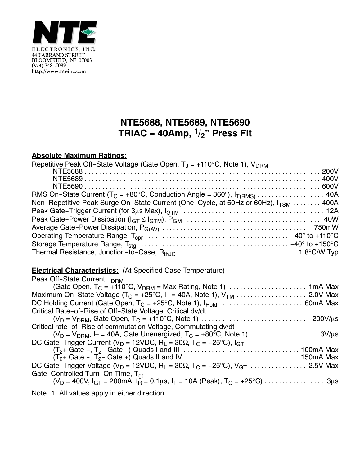

## **NTE5688, NTE5689, NTE5690 TRIAC - 40Amp, 1/2" Press Fit**

## **Absolute Maximum Ratings:**

| Repetitive Peak Off-State Voltage (Gate Open, $T_J = +110^{\circ}C$ , Note 1), $V_{DRM}$       |  |
|------------------------------------------------------------------------------------------------|--|
|                                                                                                |  |
|                                                                                                |  |
|                                                                                                |  |
|                                                                                                |  |
| Non-Repetitive Peak Surge On-State Current (One-Cycle, at 50Hz or 60Hz), I <sub>TSM</sub> 400A |  |
|                                                                                                |  |
|                                                                                                |  |
|                                                                                                |  |
|                                                                                                |  |
|                                                                                                |  |
|                                                                                                |  |

## **Electrical Characteristics:** (At Specified Case Temperature)

| Peak Off-State Current, I <sub>DRM</sub>                                                                         |
|------------------------------------------------------------------------------------------------------------------|
|                                                                                                                  |
|                                                                                                                  |
|                                                                                                                  |
| Critical Rate-of-Rise of Off-State Voltage, Critical dv/dt                                                       |
|                                                                                                                  |
| Critical rate-of-Rise of commutation Voltage, Commutating dv/dt                                                  |
|                                                                                                                  |
| DC Gate-Trigger Current ( $V_D$ = 12VDC, R <sub>L</sub> = 30 $\Omega$ , T <sub>C</sub> = +25°C), I <sub>GT</sub> |
|                                                                                                                  |
|                                                                                                                  |
|                                                                                                                  |
| Gate-Controlled Turn-On Time, T <sub>at</sub>                                                                    |
|                                                                                                                  |
| Niete d. All celcose smale in sition divention                                                                   |

Note 1. All values apply in either direction.